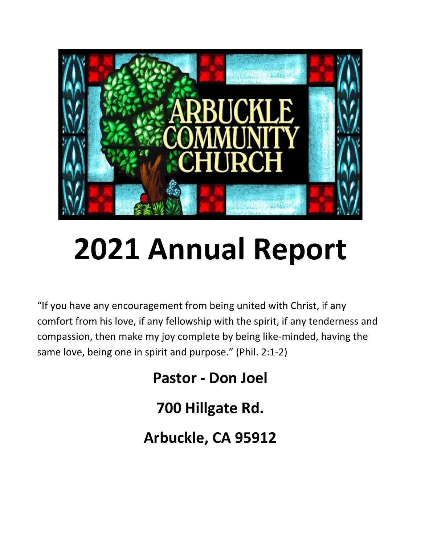

# **2021 Annual Report**

"If you have any encouragement from being united with Christ, if any comfort from his love, if any fellowship with the spirit, if any tenderness and compassion, then make my joy complete by being like-minded, having the same love, being one in spirit and purpose." (Phil. 2:1-2)

> **Pastor - Don Joel 700 Hillgate Rd.**

**Arbuckle, CA 95912**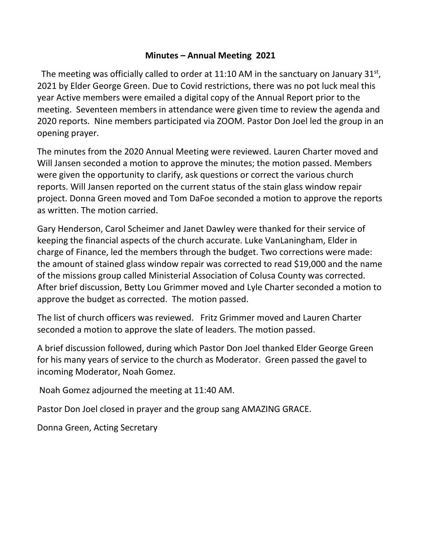#### **Minutes – Annual Meeting 2021**

The meeting was officially called to order at 11:10 AM in the sanctuary on January  $31^{st}$ , 2021 by Elder George Green. Due to Covid restrictions, there was no pot luck meal this year Active members were emailed a digital copy of the Annual Report prior to the meeting. Seventeen members in attendance were given time to review the agenda and 2020 reports. Nine members participated via ZOOM. Pastor Don Joel led the group in an opening prayer.

The minutes from the 2020 Annual Meeting were reviewed. Lauren Charter moved and Will Jansen seconded a motion to approve the minutes; the motion passed. Members were given the opportunity to clarify, ask questions or correct the various church reports. Will Jansen reported on the current status of the stain glass window repair project. Donna Green moved and Tom DaFoe seconded a motion to approve the reports as written. The motion carried.

Gary Henderson, Carol Scheimer and Janet Dawley were thanked for their service of keeping the financial aspects of the church accurate. Luke VanLaningham, Elder in charge of Finance, led the members through the budget. Two corrections were made: the amount of stained glass window repair was corrected to read \$19,000 and the name of the missions group called Ministerial Association of Colusa County was corrected. After brief discussion, Betty Lou Grimmer moved and Lyle Charter seconded a motion to approve the budget as corrected. The motion passed.

The list of church officers was reviewed. Fritz Grimmer moved and Lauren Charter seconded a motion to approve the slate of leaders. The motion passed.

A brief discussion followed, during which Pastor Don Joel thanked Elder George Green for his many years of service to the church as Moderator. Green passed the gavel to incoming Moderator, Noah Gomez.

Noah Gomez adjourned the meeting at 11:40 AM.

Pastor Don Joel closed in prayer and the group sang AMAZING GRACE.

Donna Green, Acting Secretary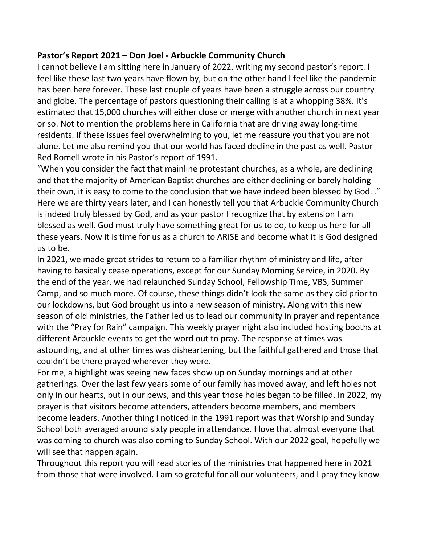#### **Pastor's Report 2021 – Don Joel - Arbuckle Community Church**

I cannot believe I am sitting here in January of 2022, writing my second pastor's report. I feel like these last two years have flown by, but on the other hand I feel like the pandemic has been here forever. These last couple of years have been a struggle across our country and globe. The percentage of pastors questioning their calling is at a whopping 38%. It's estimated that 15,000 churches will either close or merge with another church in next year or so. Not to mention the problems here in California that are driving away long-time residents. If these issues feel overwhelming to you, let me reassure you that you are not alone. Let me also remind you that our world has faced decline in the past as well. Pastor Red Romell wrote in his Pastor's report of 1991.

"When you consider the fact that mainline protestant churches, as a whole, are declining and that the majority of American Baptist churches are either declining or barely holding their own, it is easy to come to the conclusion that we have indeed been blessed by God…" Here we are thirty years later, and I can honestly tell you that Arbuckle Community Church is indeed truly blessed by God, and as your pastor I recognize that by extension I am blessed as well. God must truly have something great for us to do, to keep us here for all these years. Now it is time for us as a church to ARISE and become what it is God designed us to be.

In 2021, we made great strides to return to a familiar rhythm of ministry and life, after having to basically cease operations, except for our Sunday Morning Service, in 2020. By the end of the year, we had relaunched Sunday School, Fellowship Time, VBS, Summer Camp, and so much more. Of course, these things didn't look the same as they did prior to our lockdowns, but God brought us into a new season of ministry. Along with this new season of old ministries, the Father led us to lead our community in prayer and repentance with the "Pray for Rain" campaign. This weekly prayer night also included hosting booths at different Arbuckle events to get the word out to pray. The response at times was astounding, and at other times was disheartening, but the faithful gathered and those that couldn't be there prayed wherever they were.

For me, a highlight was seeing new faces show up on Sunday mornings and at other gatherings. Over the last few years some of our family has moved away, and left holes not only in our hearts, but in our pews, and this year those holes began to be filled. In 2022, my prayer is that visitors become attenders, attenders become members, and members become leaders. Another thing I noticed in the 1991 report was that Worship and Sunday School both averaged around sixty people in attendance. I love that almost everyone that was coming to church was also coming to Sunday School. With our 2022 goal, hopefully we will see that happen again.

Throughout this report you will read stories of the ministries that happened here in 2021 from those that were involved. I am so grateful for all our volunteers, and I pray they know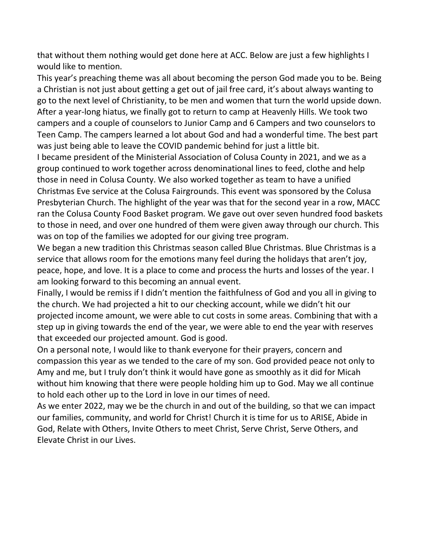that without them nothing would get done here at ACC. Below are just a few highlights I would like to mention.

This year's preaching theme was all about becoming the person God made you to be. Being a Christian is not just about getting a get out of jail free card, it's about always wanting to go to the next level of Christianity, to be men and women that turn the world upside down. After a year-long hiatus, we finally got to return to camp at Heavenly Hills. We took two campers and a couple of counselors to Junior Camp and 6 Campers and two counselors to Teen Camp. The campers learned a lot about God and had a wonderful time. The best part was just being able to leave the COVID pandemic behind for just a little bit.

I became president of the Ministerial Association of Colusa County in 2021, and we as a group continued to work together across denominational lines to feed, clothe and help those in need in Colusa County. We also worked together as team to have a unified Christmas Eve service at the Colusa Fairgrounds. This event was sponsored by the Colusa Presbyterian Church. The highlight of the year was that for the second year in a row, MACC ran the Colusa County Food Basket program. We gave out over seven hundred food baskets to those in need, and over one hundred of them were given away through our church. This was on top of the families we adopted for our giving tree program.

We began a new tradition this Christmas season called Blue Christmas. Blue Christmas is a service that allows room for the emotions many feel during the holidays that aren't joy, peace, hope, and love. It is a place to come and process the hurts and losses of the year. I am looking forward to this becoming an annual event.

Finally, I would be remiss if I didn't mention the faithfulness of God and you all in giving to the church. We had projected a hit to our checking account, while we didn't hit our projected income amount, we were able to cut costs in some areas. Combining that with a step up in giving towards the end of the year, we were able to end the year with reserves that exceeded our projected amount. God is good.

On a personal note, I would like to thank everyone for their prayers, concern and compassion this year as we tended to the care of my son. God provided peace not only to Amy and me, but I truly don't think it would have gone as smoothly as it did for Micah without him knowing that there were people holding him up to God. May we all continue to hold each other up to the Lord in love in our times of need.

As we enter 2022, may we be the church in and out of the building, so that we can impact our families, community, and world for Christ! Church it is time for us to ARISE, Abide in God, Relate with Others, Invite Others to meet Christ, Serve Christ, Serve Others, and Elevate Christ in our Lives.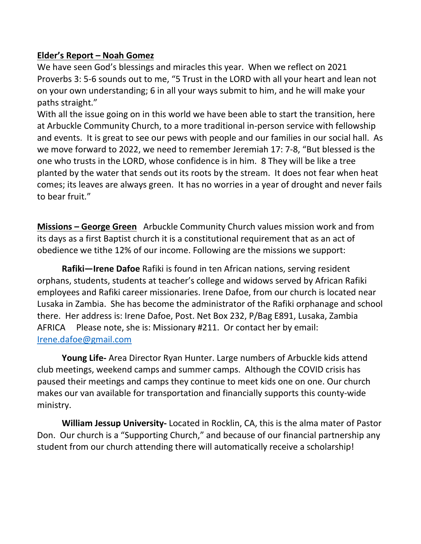#### **Elder's Report – Noah Gomez**

We have seen God's blessings and miracles this year. When we reflect on 2021 Proverbs 3: 5-6 sounds out to me, "5 Trust in the LORD with all your heart and lean not on your own understanding; 6 in all your ways submit to him, and he will make your paths straight."

With all the issue going on in this world we have been able to start the transition, here at Arbuckle Community Church, to a more traditional in-person service with fellowship and events. It is great to see our pews with people and our families in our social hall. As we move forward to 2022, we need to remember Jeremiah 17: 7-8, "But blessed is the one who trusts in the LORD, whose confidence is in him. 8 They will be like a tree planted by the water that sends out its roots by the stream. It does not fear when heat comes; its leaves are always green. It has no worries in a year of drought and never fails to bear fruit."

**Missions – George Green** Arbuckle Community Church values mission work and from its days as a first Baptist church it is a constitutional requirement that as an act of obedience we tithe 12% of our income. Following are the missions we support:

**Rafiki—Irene Dafoe** Rafiki is found in ten African nations, serving resident orphans, students, students at teacher's college and widows served by African Rafiki employees and Rafiki career missionaries. Irene Dafoe, from our church is located near Lusaka in Zambia. She has become the administrator of the Rafiki orphanage and school there. Her address is: Irene Dafoe, Post. Net Box 232, P/Bag E891, Lusaka, Zambia AFRICA Please note, she is: Missionary #211. Or contact her by email: [Irene.dafoe@gmail.com](mailto:Irene.dafoe@gmail.com) 

**Young Life-** Area Director Ryan Hunter. Large numbers of Arbuckle kids attend club meetings, weekend camps and summer camps. Although the COVID crisis has paused their meetings and camps they continue to meet kids one on one. Our church makes our van available for transportation and financially supports this county-wide ministry.

**William Jessup University-** Located in Rocklin, CA, this is the alma mater of Pastor Don. Our church is a "Supporting Church," and because of our financial partnership any student from our church attending there will automatically receive a scholarship!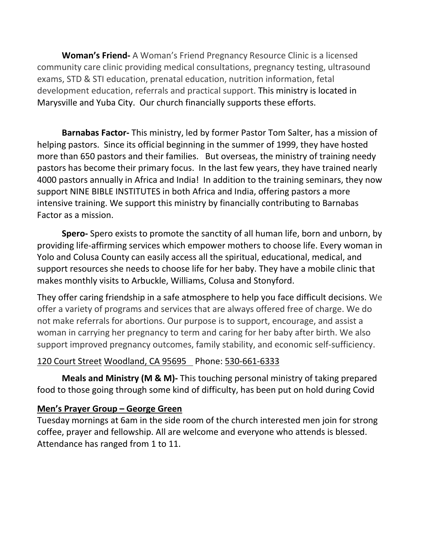**Woman's Friend-** A Woman's Friend Pregnancy Resource Clinic is a licensed community care clinic providing medical consultations, pregnancy testing, ultrasound exams, STD & STI education, prenatal education, nutrition information, fetal development education, referrals and practical support. This ministry is located in Marysville and Yuba City. Our church financially supports these efforts.

**Barnabas Factor-** This ministry, led by former Pastor Tom Salter, has a mission of helping pastors. Since its official beginning in the summer of 1999, they have hosted more than 650 pastors and their families. But overseas, the ministry of training needy pastors has become their primary focus. In the last few years, they have trained nearly 4000 pastors annually in Africa and India! In addition to the training seminars, they now support NINE BIBLE INSTITUTES in both Africa and India, offering pastors a more intensive training. We support this ministry by financially contributing to Barnabas Factor as a mission.

**Spero-** Spero exists to promote the sanctity of all human life, born and unborn, by providing life-affirming services which empower mothers to choose life. Every woman in Yolo and Colusa County can easily access all the spiritual, educational, medical, and support resources she needs to choose life for her baby. They have a mobile clinic that makes monthly visits to Arbuckle, Williams, Colusa and Stonyford.

They offer caring friendship in a safe atmosphere to help you face difficult decisions. We offer a variety of programs and services that are always offered free of charge. We do not make referrals for abortions. Our purpose is to support, encourage, and assist a woman in carrying her pregnancy to term and caring for her baby after birth. We also support improved pregnancy outcomes, family stability, and economic self-sufficiency.

#### [120 Court Street](https://www.google.com/maps/place/120+Court+St,+Woodland,+CA+95695/@38.6786219,-121.784639,17z/data=!3m1!4b1!4m5!3m4!1s0x8084d0f203295f03:0x64aedc180d1f84da!8m2!3d38.6786219!4d-121.7824503) [Woodland, CA 95695](https://www.google.com/maps/place/120+Court+St,+Woodland,+CA+95695/@38.6786219,-121.784639,17z/data=!3m1!4b1!4m5!3m4!1s0x8084d0f203295f03:0x64aedc180d1f84da!8m2!3d38.6786219!4d-121.7824503) Phone: [530-661-6333](tel:%20530-661-6333)

**Meals and Ministry (M & M)-** This touching personal ministry of taking prepared food to those going through some kind of difficulty, has been put on hold during Covid

#### **Men's Prayer Group – George Green**

Tuesday mornings at 6am in the side room of the church interested men join for strong coffee, prayer and fellowship. All are welcome and everyone who attends is blessed. Attendance has ranged from 1 to 11.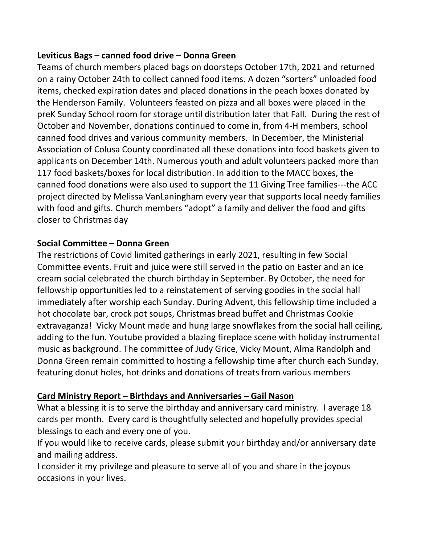#### **Leviticus Bags – canned food drive – Donna Green**

Teams of church members placed bags on doorsteps October 17th, 2021 and returned on a rainy October 24th to collect canned food items. A dozen "sorters" unloaded food items, checked expiration dates and placed donations in the peach boxes donated by the Henderson Family. Volunteers feasted on pizza and all boxes were placed in the preK Sunday School room for storage until distribution later that Fall. During the rest of October and November, donations continued to come in, from 4-H members, school canned food drives and various community members. In December, the Ministerial Association of Colusa County coordinated all these donations into food baskets given to applicants on December 14th. Numerous youth and adult volunteers packed more than 117 food baskets/boxes for local distribution. In addition to the MACC boxes, the canned food donations were also used to support the 11 Giving Tree families---the ACC project directed by Melissa VanLaningham every year that supports local needy families with food and gifts. Church members "adopt" a family and deliver the food and gifts closer to Christmas day

#### **Social Committee – Donna Green**

The restrictions of Covid limited gatherings in early 2021, resulting in few Social Committee events. Fruit and juice were still served in the patio on Easter and an ice cream social celebrated the church birthday in September. By October, the need for fellowship opportunities led to a reinstatement of serving goodies in the social hall immediately after worship each Sunday. During Advent, this fellowship time included a hot chocolate bar, crock pot soups, Christmas bread buffet and Christmas Cookie extravaganza! Vicky Mount made and hung large snowflakes from the social hall ceiling, adding to the fun. Youtube provided a blazing fireplace scene with holiday instrumental music as background. The committee of Judy Grice, Vicky Mount, Alma Randolph and Donna Green remain committed to hosting a fellowship time after church each Sunday, featuring donut holes, hot drinks and donations of treats from various members

#### **Card Ministry Report – Birthdays and Anniversaries – Gail Nason**

What a blessing it is to serve the birthday and anniversary card ministry. I average 18 cards per month. Every card is thoughtfully selected and hopefully provides special blessings to each and every one of you.

If you would like to receive cards, please submit your birthday and/or anniversary date and mailing address.

I consider it my privilege and pleasure to serve all of you and share in the joyous occasions in your lives.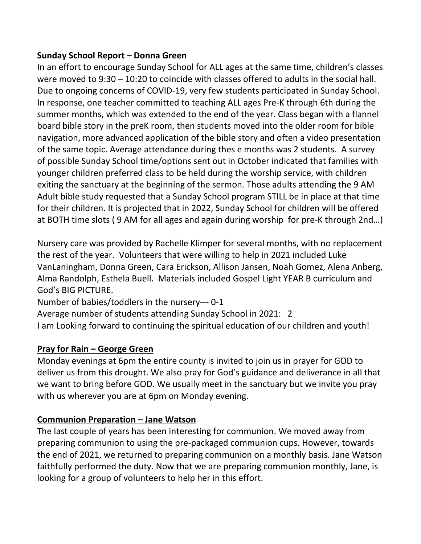#### **Sunday School Report – Donna Green**

In an effort to encourage Sunday School for ALL ages at the same time, children's classes were moved to 9:30 – 10:20 to coincide with classes offered to adults in the social hall. Due to ongoing concerns of COVID-19, very few students participated in Sunday School. In response, one teacher committed to teaching ALL ages Pre-K through 6th during the summer months, which was extended to the end of the year. Class began with a flannel board bible story in the preK room, then students moved into the older room for bible navigation, more advanced application of the bible story and often a video presentation of the same topic. Average attendance during thes e months was 2 students. A survey of possible Sunday School time/options sent out in October indicated that families with younger children preferred class to be held during the worship service, with children exiting the sanctuary at the beginning of the sermon. Those adults attending the 9 AM Adult bible study requested that a Sunday School program STILL be in place at that time for their children. It is projected that in 2022, Sunday School for children will be offered at BOTH time slots ( 9 AM for all ages and again during worship for pre-K through 2nd…)

Nursery care was provided by Rachelle Klimper for several months, with no replacement the rest of the year. Volunteers that were willing to help in 2021 included Luke VanLaningham, Donna Green, Cara Erickson, Allison Jansen, Noah Gomez, Alena Anberg, Alma Randolph, Esthela Buell. Materials included Gospel Light YEAR B curriculum and God's BIG PICTURE.

Number of babies/toddlers in the nursery--- 0-1

Average number of students attending Sunday School in 2021: 2

I am Looking forward to continuing the spiritual education of our children and youth!

#### **Pray for Rain – George Green**

Monday evenings at 6pm the entire county is invited to join us in prayer for GOD to deliver us from this drought. We also pray for God's guidance and deliverance in all that we want to bring before GOD. We usually meet in the sanctuary but we invite you pray with us wherever you are at 6pm on Monday evening.

#### **Communion Preparation – Jane Watson**

The last couple of years has been interesting for communion. We moved away from preparing communion to using the pre-packaged communion cups. However, towards the end of 2021, we returned to preparing communion on a monthly basis. Jane Watson faithfully performed the duty. Now that we are preparing communion monthly, Jane, is looking for a group of volunteers to help her in this effort.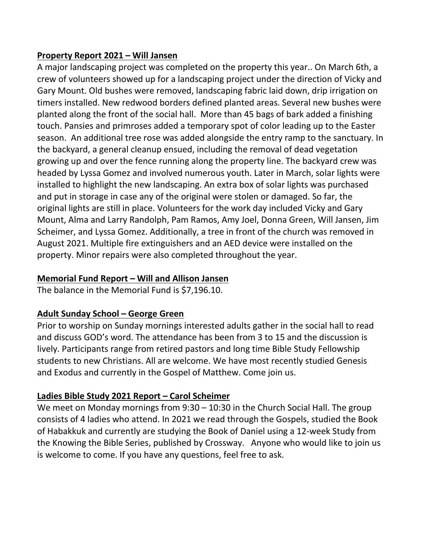#### **Property Report 2021 – Will Jansen**

A major landscaping project was completed on the property this year.. On March 6th, a crew of volunteers showed up for a landscaping project under the direction of Vicky and Gary Mount. Old bushes were removed, landscaping fabric laid down, drip irrigation on timers installed. New redwood borders defined planted areas. Several new bushes were planted along the front of the social hall. More than 45 bags of bark added a finishing touch. Pansies and primroses added a temporary spot of color leading up to the Easter season. An additional tree rose was added alongside the entry ramp to the sanctuary. In the backyard, a general cleanup ensued, including the removal of dead vegetation growing up and over the fence running along the property line. The backyard crew was headed by Lyssa Gomez and involved numerous youth. Later in March, solar lights were installed to highlight the new landscaping. An extra box of solar lights was purchased and put in storage in case any of the original were stolen or damaged. So far, the original lights are still in place. Volunteers for the work day included Vicky and Gary Mount, Alma and Larry Randolph, Pam Ramos, Amy Joel, Donna Green, Will Jansen, Jim Scheimer, and Lyssa Gomez. Additionally, a tree in front of the church was removed in August 2021. Multiple fire extinguishers and an AED device were installed on the property. Minor repairs were also completed throughout the year.

#### **Memorial Fund Report – Will and Allison Jansen**

The balance in the Memorial Fund is \$7,196.10.

#### **Adult Sunday School – George Green**

Prior to worship on Sunday mornings interested adults gather in the social hall to read and discuss GOD's word. The attendance has been from 3 to 15 and the discussion is lively. Participants range from retired pastors and long time Bible Study Fellowship students to new Christians. All are welcome. We have most recently studied Genesis and Exodus and currently in the Gospel of Matthew. Come join us.

#### **Ladies Bible Study 2021 Report – Carol Scheimer**

We meet on Monday mornings from 9:30 – 10:30 in the Church Social Hall. The group consists of 4 ladies who attend. In 2021 we read through the Gospels, studied the Book of Habakkuk and currently are studying the Book of Daniel using a 12-week Study from the Knowing the Bible Series, published by Crossway. Anyone who would like to join us is welcome to come. If you have any questions, feel free to ask.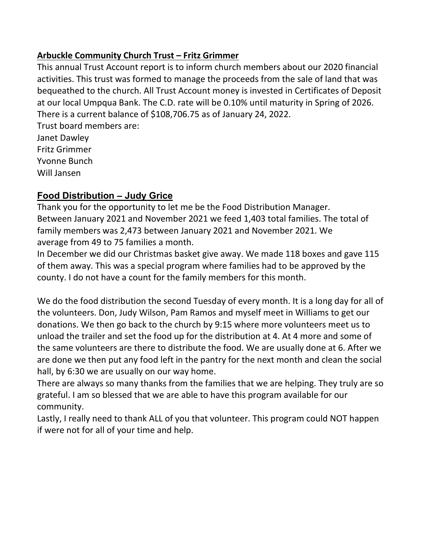#### **Arbuckle Community Church Trust – Fritz Grimmer**

This annual Trust Account report is to inform church members about our 2020 financial activities. This trust was formed to manage the proceeds from the sale of land that was bequeathed to the church. All Trust Account money is invested in Certificates of Deposit at our local Umpqua Bank. The C.D. rate will be 0.10% until maturity in Spring of 2026. There is a current balance of \$108,706.75 as of January 24, 2022.

Trust board members are: Janet Dawley

Fritz Grimmer Yvonne Bunch

Will Jansen

#### **Food Distribution – Judy Grice**

Thank you for the opportunity to let me be the Food Distribution Manager. Between January 2021 and November 2021 we feed 1,403 total families. The total of family members was 2,473 between January 2021 and November 2021. We average from 49 to 75 families a month.

In December we did our Christmas basket give away. We made 118 boxes and gave 115 of them away. This was a special program where families had to be approved by the county. I do not have a count for the family members for this month.

We do the food distribution the second Tuesday of every month. It is a long day for all of the volunteers. Don, Judy Wilson, Pam Ramos and myself meet in Williams to get our donations. We then go back to the church by 9:15 where more volunteers meet us to unload the trailer and set the food up for the distribution at 4. At 4 more and some of the same volunteers are there to distribute the food. We are usually done at 6. After we are done we then put any food left in the pantry for the next month and clean the social hall, by 6:30 we are usually on our way home.

There are always so many thanks from the families that we are helping. They truly are so grateful. I am so blessed that we are able to have this program available for our community.

Lastly, I really need to thank ALL of you that volunteer. This program could NOT happen if were not for all of your time and help.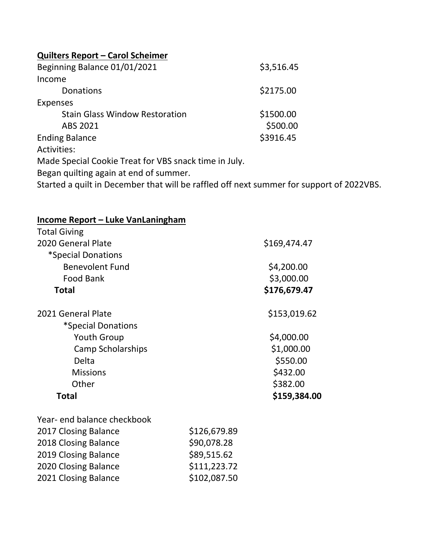### **Quilters Report – Carol Scheimer**

| Beginning Balance 01/01/2021                          | \$3,516.45 |
|-------------------------------------------------------|------------|
| Income                                                |            |
| Donations                                             | \$2175.00  |
| <b>Expenses</b>                                       |            |
| <b>Stain Glass Window Restoration</b>                 | \$1500.00  |
| ABS 2021                                              | \$500.00   |
| <b>Ending Balance</b>                                 | \$3916.45  |
| <b>Activities:</b>                                    |            |
| Made Special Cookie Treat for VBS snack time in July. |            |
| Began quilting again at end of summer.                |            |

Started a quilt in December that will be raffled off next summer for support of 2022VBS.

| <b>Income Report - Luke VanLaningham</b> |              |              |
|------------------------------------------|--------------|--------------|
| <b>Total Giving</b>                      |              |              |
| 2020 General Plate                       |              | \$169,474.47 |
| *Special Donations                       |              |              |
| <b>Benevolent Fund</b>                   |              | \$4,200.00   |
| <b>Food Bank</b>                         |              | \$3,000.00   |
| <b>Total</b>                             |              | \$176,679.47 |
| 2021 General Plate                       |              | \$153,019.62 |
| *Special Donations                       |              |              |
| <b>Youth Group</b>                       |              | \$4,000.00   |
| Camp Scholarships                        |              | \$1,000.00   |
| Delta                                    |              | \$550.00     |
| <b>Missions</b>                          |              | \$432.00     |
| Other                                    |              | \$382.00     |
| <b>Total</b>                             |              | \$159,384.00 |
| Year- end balance checkbook              |              |              |
| 2017 Closing Balance                     | \$126,679.89 |              |
| 2018 Closing Balance                     | \$90,078.28  |              |
| 2019 Closing Balance                     | \$89,515.62  |              |
| 2020 Closing Balance                     | \$111,223.72 |              |
| 2021 Closing Balance                     | \$102,087.50 |              |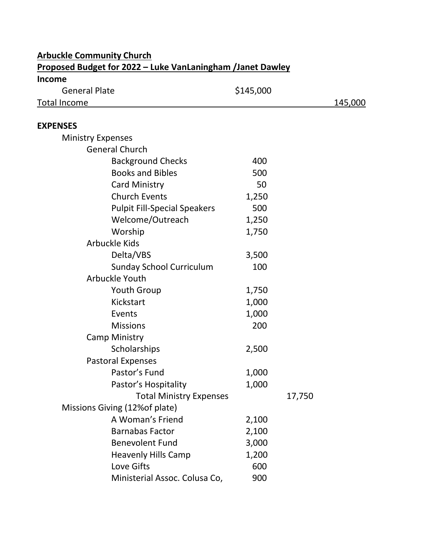| <b>Proposed Budget for 2022 – Luke VanLaningham /Janet Dawley</b> |           |        |         |  |
|-------------------------------------------------------------------|-----------|--------|---------|--|
| <b>Income</b>                                                     |           |        |         |  |
| <b>General Plate</b>                                              | \$145,000 |        |         |  |
| <b>Total Income</b>                                               |           |        | 145,000 |  |
|                                                                   |           |        |         |  |
| <b>EXPENSES</b>                                                   |           |        |         |  |
| <b>Ministry Expenses</b>                                          |           |        |         |  |
| <b>General Church</b>                                             |           |        |         |  |
| <b>Background Checks</b>                                          | 400       |        |         |  |
| <b>Books and Bibles</b>                                           | 500       |        |         |  |
| <b>Card Ministry</b>                                              | 50        |        |         |  |
| <b>Church Events</b>                                              | 1,250     |        |         |  |
| <b>Pulpit Fill-Special Speakers</b>                               | 500       |        |         |  |
| Welcome/Outreach                                                  | 1,250     |        |         |  |
| Worship                                                           | 1,750     |        |         |  |
| <b>Arbuckle Kids</b>                                              |           |        |         |  |
| Delta/VBS                                                         | 3,500     |        |         |  |
| <b>Sunday School Curriculum</b>                                   | 100       |        |         |  |
| Arbuckle Youth                                                    |           |        |         |  |
| <b>Youth Group</b>                                                | 1,750     |        |         |  |
| Kickstart                                                         | 1,000     |        |         |  |
| Events                                                            | 1,000     |        |         |  |
| <b>Missions</b>                                                   | 200       |        |         |  |
| Camp Ministry                                                     |           |        |         |  |
| Scholarships                                                      | 2,500     |        |         |  |
| <b>Pastoral Expenses</b>                                          |           |        |         |  |
| Pastor's Fund                                                     | 1,000     |        |         |  |
| Pastor's Hospitality                                              | 1,000     |        |         |  |
| <b>Total Ministry Expenses</b>                                    |           | 17,750 |         |  |
| Missions Giving (12% of plate)                                    |           |        |         |  |
| A Woman's Friend                                                  | 2,100     |        |         |  |
| <b>Barnabas Factor</b>                                            | 2,100     |        |         |  |
| <b>Benevolent Fund</b>                                            | 3,000     |        |         |  |
| <b>Heavenly Hills Camp</b>                                        | 1,200     |        |         |  |
| Love Gifts                                                        | 600       |        |         |  |
| Ministerial Assoc. Colusa Co,                                     | 900       |        |         |  |

## **Arbuckle Community Church**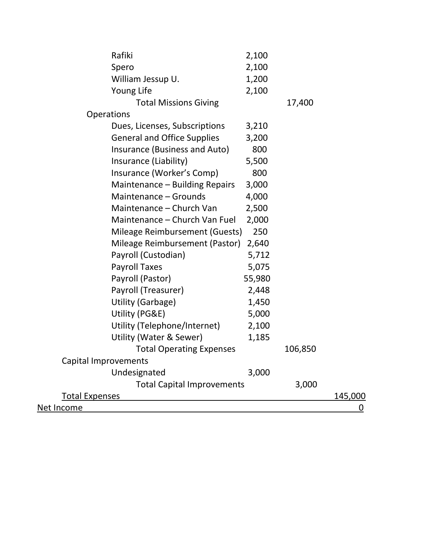| Rafiki                             | 2,100  |         |                |
|------------------------------------|--------|---------|----------------|
| Spero                              | 2,100  |         |                |
| William Jessup U.                  | 1,200  |         |                |
| Young Life                         | 2,100  |         |                |
| <b>Total Missions Giving</b>       |        | 17,400  |                |
| <b>Operations</b>                  |        |         |                |
| Dues, Licenses, Subscriptions      | 3,210  |         |                |
| <b>General and Office Supplies</b> | 3,200  |         |                |
| Insurance (Business and Auto)      | 800    |         |                |
| Insurance (Liability)              | 5,500  |         |                |
| Insurance (Worker's Comp)          | 800    |         |                |
| Maintenance - Building Repairs     | 3,000  |         |                |
| Maintenance - Grounds              | 4,000  |         |                |
| Maintenance - Church Van           | 2,500  |         |                |
| Maintenance - Church Van Fuel      | 2,000  |         |                |
| Mileage Reimbursement (Guests)     | 250    |         |                |
| Mileage Reimbursement (Pastor)     | 2,640  |         |                |
| Payroll (Custodian)                | 5,712  |         |                |
| <b>Payroll Taxes</b>               | 5,075  |         |                |
| Payroll (Pastor)                   | 55,980 |         |                |
| Payroll (Treasurer)                | 2,448  |         |                |
| <b>Utility (Garbage)</b>           | 1,450  |         |                |
| Utility (PG&E)                     | 5,000  |         |                |
| Utility (Telephone/Internet)       | 2,100  |         |                |
| Utility (Water & Sewer)            | 1,185  |         |                |
| <b>Total Operating Expenses</b>    |        | 106,850 |                |
| Capital Improvements               |        |         |                |
| Undesignated                       | 3,000  |         |                |
| <b>Total Capital Improvements</b>  |        | 3,000   |                |
| <b>Total Expenses</b>              |        |         | <u>145,000</u> |
| <u>Net Income</u>                  |        |         | <u>0</u>       |